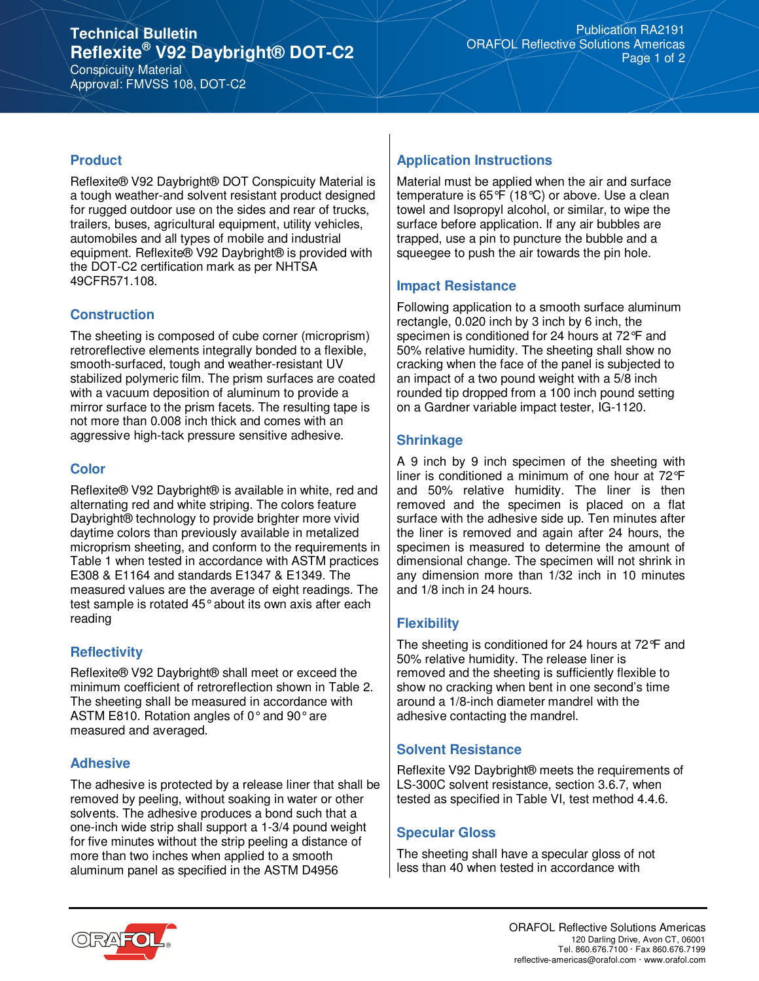# **Technical Bulletin Reflexite® V92 Daybright® DOT-C2**

Conspicuity Material Approval: FMVSS 108, DOT-C2

#### **Product**

Reflexite® V92 Daybright® DOT Conspicuity Material is a tough weather-and solvent resistant product designed for rugged outdoor use on the sides and rear of trucks, trailers, buses, agricultural equipment, utility vehicles, automobiles and all types of mobile and industrial equipment. Reflexite® V92 Daybright® is provided with the DOT-C2 certification mark as per NHTSA 49CFR571.108.

### **Construction**

The sheeting is composed of cube corner (microprism) retroreflective elements integrally bonded to a flexible, smooth-surfaced, tough and weather-resistant UV stabilized polymeric film. The prism surfaces are coated with a vacuum deposition of aluminum to provide a mirror surface to the prism facets. The resulting tape is not more than 0.008 inch thick and comes with an aggressive high-tack pressure sensitive adhesive.

### **Color**

Reflexite® V92 Daybright® is available in white, red and alternating red and white striping. The colors feature Daybright® technology to provide brighter more vivid daytime colors than previously available in metalized microprism sheeting, and conform to the requirements in Table 1 when tested in accordance with ASTM practices E308 & E1164 and standards E1347 & E1349. The measured values are the average of eight readings. The test sample is rotated 45° about its own axis after each reading

## **Reflectivity**

Reflexite® V92 Daybright® shall meet or exceed the minimum coefficient of retroreflection shown in Table 2. The sheeting shall be measured in accordance with ASTM E810. Rotation angles of 0° and 90° are measured and averaged.

#### **Adhesive**

The adhesive is protected by a release liner that shall be removed by peeling, without soaking in water or other solvents. The adhesive produces a bond such that a one-inch wide strip shall support a 1-3/4 pound weight for five minutes without the strip peeling a distance of more than two inches when applied to a smooth aluminum panel as specified in the ASTM D4956

## **Application Instructions**

Material must be applied when the air and surface temperature is 65°F (18°C) or above. Use a clean towel and Isopropyl alcohol, or similar, to wipe the surface before application. If any air bubbles are trapped, use a pin to puncture the bubble and a squeegee to push the air towards the pin hole.

## **Impact Resistance**

Following application to a smooth surface aluminum rectangle, 0.020 inch by 3 inch by 6 inch, the specimen is conditioned for 24 hours at 72°F and 50% relative humidity. The sheeting shall show no cracking when the face of the panel is subjected to an impact of a two pound weight with a 5/8 inch rounded tip dropped from a 100 inch pound setting on a Gardner variable impact tester, IG-1120.

## **Shrinkage**

A 9 inch by 9 inch specimen of the sheeting with liner is conditioned a minimum of one hour at 72°F and 50% relative humidity. The liner is then removed and the specimen is placed on a flat surface with the adhesive side up. Ten minutes after the liner is removed and again after 24 hours, the specimen is measured to determine the amount of dimensional change. The specimen will not shrink in any dimension more than 1/32 inch in 10 minutes and 1/8 inch in 24 hours.

## **Flexibility**

The sheeting is conditioned for 24 hours at 72°F and 50% relative humidity. The release liner is removed and the sheeting is sufficiently flexible to show no cracking when bent in one second's time around a 1/8-inch diameter mandrel with the adhesive contacting the mandrel.

## **Solvent Resistance**

Reflexite V92 Daybright® meets the requirements of LS-300C solvent resistance, section 3.6.7, when tested as specified in Table VI, test method 4.4.6.

#### **Specular Gloss**

The sheeting shall have a specular gloss of not less than 40 when tested in accordance with